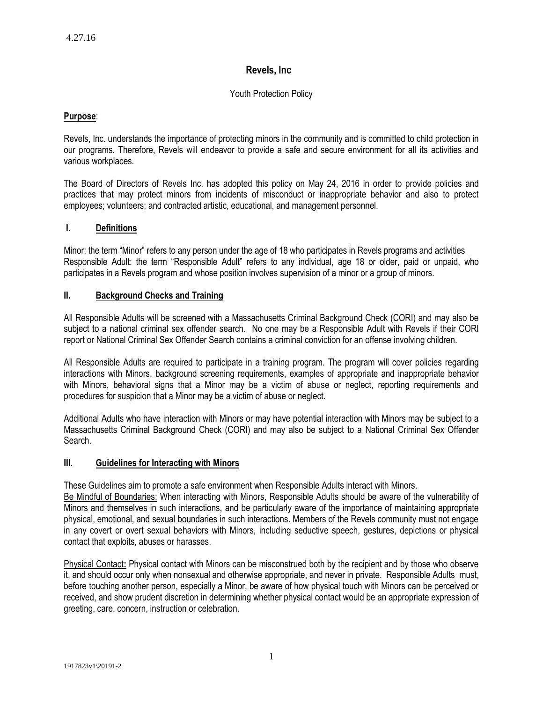# **Revels, Inc**

# Youth Protection Policy

# **Purpose**:

Revels, Inc. understands the importance of protecting minors in the community and is committed to child protection in our programs. Therefore, Revels will endeavor to provide a safe and secure environment for all its activities and various workplaces.

The Board of Directors of Revels Inc. has adopted this policy on May 24, 2016 in order to provide policies and practices that may protect minors from incidents of misconduct or inappropriate behavior and also to protect employees; volunteers; and contracted artistic, educational, and management personnel.

# **I. Definitions**

Minor: the term "Minor" refers to any person under the age of 18 who participates in Revels programs and activities Responsible Adult: the term "Responsible Adult" refers to any individual, age 18 or older, paid or unpaid, who participates in a Revels program and whose position involves supervision of a minor or a group of minors.

# **II. Background Checks and Training**

All Responsible Adults will be screened with a Massachusetts Criminal Background Check (CORI) and may also be subject to a national criminal sex offender search. No one may be a Responsible Adult with Revels if their CORI report or National Criminal Sex Offender Search contains a criminal conviction for an offense involving children.

All Responsible Adults are required to participate in a training program. The program will cover policies regarding interactions with Minors, background screening requirements, examples of appropriate and inappropriate behavior with Minors, behavioral signs that a Minor may be a victim of abuse or neglect, reporting requirements and procedures for suspicion that a Minor may be a victim of abuse or neglect.

Additional Adults who have interaction with Minors or may have potential interaction with Minors may be subject to a Massachusetts Criminal Background Check (CORI) and may also be subject to a National Criminal Sex Offender Search.

# **III. Guidelines for Interacting with Minors**

These Guidelines aim to promote a safe environment when Responsible Adults interact with Minors.

Be Mindful of Boundaries: When interacting with Minors, Responsible Adults should be aware of the vulnerability of Minors and themselves in such interactions, and be particularly aware of the importance of maintaining appropriate physical, emotional, and sexual boundaries in such interactions. Members of the Revels community must not engage in any covert or overt sexual behaviors with Minors, including seductive speech, gestures, depictions or physical contact that exploits, abuses or harasses.

Physical Contact**:** Physical contact with Minors can be misconstrued both by the recipient and by those who observe it, and should occur only when nonsexual and otherwise appropriate, and never in private. Responsible Adults must, before touching another person, especially a Minor, be aware of how physical touch with Minors can be perceived or received, and show prudent discretion in determining whether physical contact would be an appropriate expression of greeting, care, concern, instruction or celebration.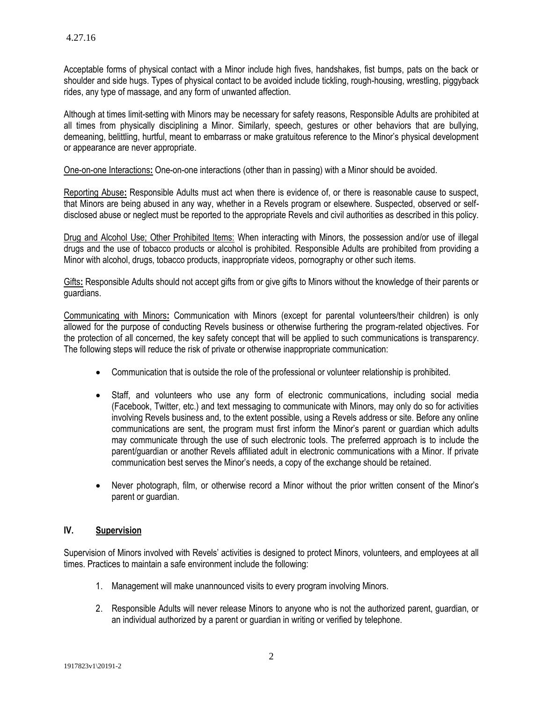Acceptable forms of physical contact with a Minor include high fives, handshakes, fist bumps, pats on the back or shoulder and side hugs. Types of physical contact to be avoided include tickling, rough-housing, wrestling, piggyback rides, any type of massage, and any form of unwanted affection.

Although at times limit-setting with Minors may be necessary for safety reasons, Responsible Adults are prohibited at all times from physically disciplining a Minor. Similarly, speech, gestures or other behaviors that are bullying, demeaning, belittling, hurtful, meant to embarrass or make gratuitous reference to the Minor's physical development or appearance are never appropriate.

One-on-one Interactions**:** One-on-one interactions (other than in passing) with a Minor should be avoided.

Reporting Abuse**:** Responsible Adults must act when there is evidence of, or there is reasonable cause to suspect, that Minors are being abused in any way, whether in a Revels program or elsewhere. Suspected, observed or selfdisclosed abuse or neglect must be reported to the appropriate Revels and civil authorities as described in this policy.

Drug and Alcohol Use; Other Prohibited Items: When interacting with Minors, the possession and/or use of illegal drugs and the use of tobacco products or alcohol is prohibited. Responsible Adults are prohibited from providing a Minor with alcohol, drugs, tobacco products, inappropriate videos, pornography or other such items.

Gifts**:** Responsible Adults should not accept gifts from or give gifts to Minors without the knowledge of their parents or guardians.

Communicating with Minors**:** Communication with Minors (except for parental volunteers/their children) is only allowed for the purpose of conducting Revels business or otherwise furthering the program-related objectives. For the protection of all concerned, the key safety concept that will be applied to such communications is transparenc*y*. The following steps will reduce the risk of private or otherwise inappropriate communication:

- Communication that is outside the role of the professional or volunteer relationship is prohibited.
- Staff, and volunteers who use any form of electronic communications, including social media (Facebook, Twitter, etc.) and text messaging to communicate with Minors, may only do so for activities involving Revels business and, to the extent possible, using a Revels address or site. Before any online communications are sent, the program must first inform the Minor's parent or guardian which adults may communicate through the use of such electronic tools. The preferred approach is to include the parent/guardian or another Revels affiliated adult in electronic communications with a Minor. If private communication best serves the Minor's needs, a copy of the exchange should be retained.
- Never photograph, film, or otherwise record a Minor without the prior written consent of the Minor's parent or guardian.

### **IV. Supervision**

Supervision of Minors involved with Revels' activities is designed to protect Minors, volunteers, and employees at all times. Practices to maintain a safe environment include the following:

- 1. Management will make unannounced visits to every program involving Minors.
- 2. Responsible Adults will never release Minors to anyone who is not the authorized parent, guardian, or an individual authorized by a parent or guardian in writing or verified by telephone.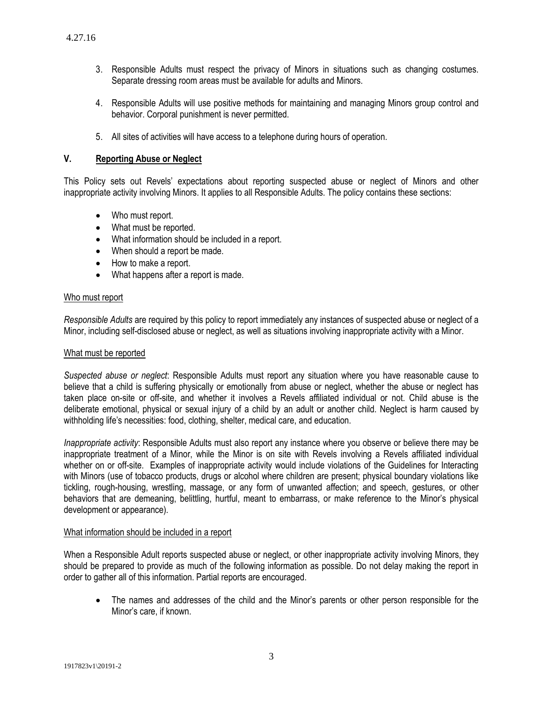- 3. Responsible Adults must respect the privacy of Minors in situations such as changing costumes. Separate dressing room areas must be available for adults and Minors.
- 4. Responsible Adults will use positive methods for maintaining and managing Minors group control and behavior. Corporal punishment is never permitted.
- 5. All sites of activities will have access to a telephone during hours of operation.

### **V. Reporting Abuse or Neglect**

This Policy sets out Revels' expectations about reporting suspected abuse or neglect of Minors and other inappropriate activity involving Minors. It applies to all Responsible Adults. The policy contains these sections:

- Who must report.
- What must be reported.
- What information should be included in a report.
- When should a report be made.
- How to make a report.
- What happens after a report is made.

#### Who must report

*Responsible Adults* are required by this policy to report immediately any instances of suspected abuse or neglect of a Minor, including self-disclosed abuse or neglect, as well as situations involving inappropriate activity with a Minor.

#### What must be reported

*Suspected abuse or neglect*: Responsible Adults must report any situation where you have reasonable cause to believe that a child is suffering physically or emotionally from abuse or neglect, whether the abuse or neglect has taken place on-site or off-site, and whether it involves a Revels affiliated individual or not. Child abuse is the deliberate emotional, physical or sexual injury of a child by an adult or another child. Neglect is harm caused by withholding life's necessities: food, clothing, shelter, medical care, and education.

*Inappropriate activity*: Responsible Adults must also report any instance where you observe or believe there may be inappropriate treatment of a Minor, while the Minor is on site with Revels involving a Revels affiliated individual whether on or off-site. Examples of inappropriate activity would include violations of the Guidelines for Interacting with Minors (use of tobacco products, drugs or alcohol where children are present; physical boundary violations like tickling, rough-housing, wrestling, massage, or any form of unwanted affection; and speech, gestures, or other behaviors that are demeaning, belittling, hurtful, meant to embarrass, or make reference to the Minor's physical development or appearance).

#### What information should be included in a report

When a Responsible Adult reports suspected abuse or neglect, or other inappropriate activity involving Minors, they should be prepared to provide as much of the following information as possible. Do not delay making the report in order to gather all of this information. Partial reports are encouraged.

 The names and addresses of the child and the Minor's parents or other person responsible for the Minor's care, if known.